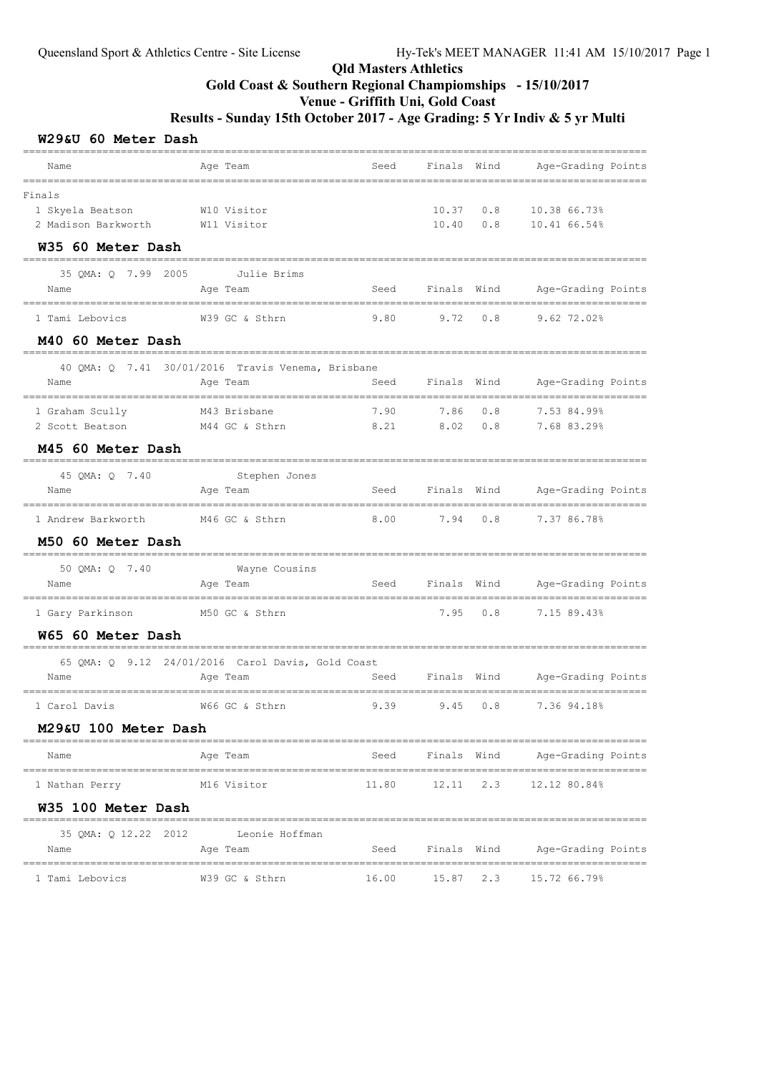# Qld Masters Athletics Gold Coast & Southern Regional Champiomships - 15/10/2017 Venue - Griffith Uni, Gold Coast

Results - Sunday 15th October 2017 - Age Grading: 5 Yr Indiv & 5 yr Multi

#### W29&U 60 Meter Dash

| Name                                                                    | Age Team                                                      | Seed         | Finals Wind    |            | Age-Grading Points           |
|-------------------------------------------------------------------------|---------------------------------------------------------------|--------------|----------------|------------|------------------------------|
| Finals<br>1 Skyela Beatson<br>2 Madison Barkworth W11 Visitor           | W10 Visitor                                                   |              | 10.37<br>10.40 | 0.8<br>0.8 | 10.38 66.73%<br>10.41 66.54% |
| W35 60 Meter Dash                                                       |                                                               |              |                |            |                              |
| 35 QMA: Q 7.99 2005 Julie Brims<br>Name                                 | Age Team                                                      | Seed         | Finals Wind    |            | Age-Grading Points           |
| 1 Tami Lebovics<br>M40 60 Meter Dash                                    | W39 GC & Sthrn                                                | 9.80         | 9.72           | 0.8        | $9.62$ $72.02$ <sup>8</sup>  |
| Name                                                                    | 40 QMA: Q 7.41 30/01/2016 Travis Venema, Brisbane<br>Age Team | Seed         | Finals Wind    |            | Age-Grading Points           |
| 1 Graham Scully<br>2 Scott Beatson                                      | M43 Brisbane<br>M44 GC & Sthrn                                | 7.90<br>8.21 | 7.86<br>8.02   | 0.8<br>0.8 | 7.53 84.99%<br>7.68 83.29%   |
| M45 60 Meter Dash                                                       |                                                               |              |                |            |                              |
| 45 QMA: Q 7.40<br>Name                                                  | Stephen Jones<br>Age Team                                     | Seed         | Finals Wind    |            | Age-Grading Points           |
| 1 Andrew Barkworth<br>M50 60 Meter Dash                                 | M46 GC & Sthrn                                                | 8.00         | 7.94           | 0.8        | 7.37 86.78%                  |
| 50 QMA: Q 7.40<br>Name                                                  | Wayne Cousins<br>Age Team                                     | Seed         | Finals         | Wind       | Age-Grading Points           |
| ------------------------------<br>1 Gary Parkinson<br>W65 60 Meter Dash | ______________________________________<br>M50 GC & Sthrn      |              | 7.95           | 0.8        | 7.15 89.43%                  |
| Name                                                                    | 65 QMA: Q 9.12 24/01/2016 Carol Davis, Gold Coast<br>Age Team | Seed         | Finals         | Wind       | Age-Grading Points           |
| 1 Carol Davis                                                           | W66 GC & Sthrn                                                | 9.39         | 9.45           | 0.8        | 7.36 94.18%                  |
| M29&U 100 Meter Dash                                                    |                                                               |              |                |            |                              |
| Name                                                                    | Age Team                                                      | Seed         | Finals Wind    |            | Age-Grading Points           |
| 1 Nathan Perry                                                          | M16 Visitor                                                   | 11.80        | 12.11          | 2.3        | 12.12 80.84%                 |
| W35 100 Meter Dash                                                      |                                                               |              |                |            |                              |
| 35 QMA: Q 12.22 2012<br>Name                                            | Leonie Hoffman<br>Age Team                                    | Seed         | Finals Wind    |            | Age-Grading Points           |
| 1 Tami Lebovics                                                         | W39 GC & Sthrn                                                | 16.00        | 15.87          | 2.3        | 15.72 66.79%                 |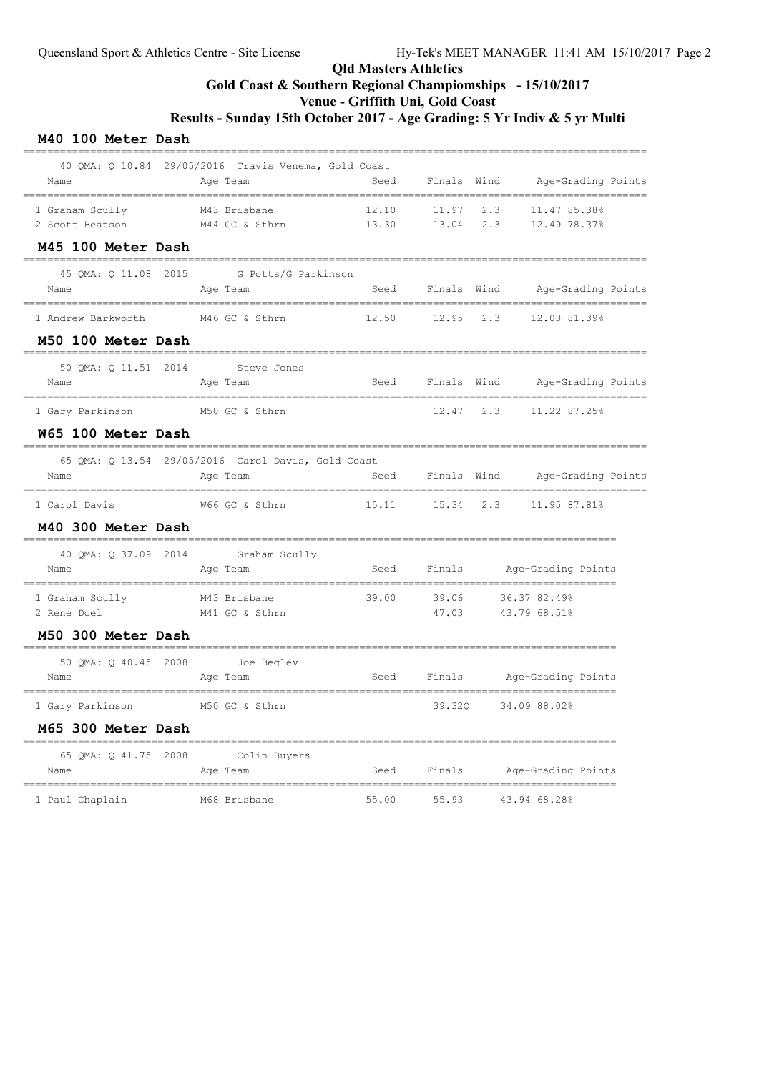Gold Coast & Southern Regional Champiomships - 15/10/2017

Venue - Griffith Uni, Gold Coast

Results - Sunday 15th October 2017 - Age Grading: 5 Yr Indiv & 5 yr Multi

### M40 100 Meter Dash

| Name                                                  | 40 QMA: Q 10.84 29/05/2016 Travis Venema, Gold Coast<br>Age Team | Seed           |                    |     | Finals Wind Age-Grading Points      |  |
|-------------------------------------------------------|------------------------------------------------------------------|----------------|--------------------|-----|-------------------------------------|--|
| 1 Graham Scully<br>2 Scott Beatson                    | M43 Brisbane<br>M44 GC & Sthrn                                   | 12.10<br>13.30 | 11.97<br>13.04 2.3 | 2.3 | 11.47 85.38%<br>12.49 78.37%        |  |
| M45 100 Meter Dash                                    |                                                                  |                |                    |     |                                     |  |
| Name                                                  | 45 QMA: Q 11.08 2015 G Potts/G Parkinson<br>Age Team             | Seed           | Finals Wind        |     | Age-Grading Points                  |  |
| 1 Andrew Barkworth<br>M50 100 Meter Dash              | ____________________________________<br>M46 GC & Sthrn           | 12.50          | 12.95              | 2.3 | 12.03 81.39%                        |  |
| Name<br>______________________________________        | 50 QMA: Q 11.51 2014 Steve Jones<br>Age Team                     |                |                    |     | Seed Finals Wind Age-Grading Points |  |
| 1 Gary Parkinson M50 GC & Sthrn<br>W65 100 Meter Dash |                                                                  |                |                    |     | 12.47 2.3 11.22 87.25%              |  |
| Name                                                  | 65 QMA: Q 13.54 29/05/2016 Carol Davis, Gold Coast<br>Age Team   |                |                    |     | Seed Finals Wind Age-Grading Points |  |
| 1 Carol Davis<br>M40 300 Meter Dash                   | W66 GC & Sthrn                                                   | 15.11          | 15.34 2.3          |     | 11.95 87.81%                        |  |
| Name                                                  | 40 QMA: Q 37.09 2014 Graham Scully<br>Age Team                   |                |                    |     | Seed Finals Age-Grading Points      |  |
| 1 Graham Scully M43 Brisbane<br>2 Rene Doel           | M41 GC & Sthrn                                                   | 39.00          | 39.06<br>47.03     |     | 36.37 82.49%<br>43.79 68.51%        |  |
| M50 300 Meter Dash                                    |                                                                  |                |                    |     |                                     |  |
| 50 QMA: Q 40.45 2008 Joe Begley<br>Name               | Age Team                                                         |                |                    |     | Seed Finals Age-Grading Points      |  |
| 1 Gary Parkinson M50 GC & Sthrn<br>M65 300 Meter Dash |                                                                  |                |                    |     | 39.32Q 34.09 88.02%                 |  |
| 65 QMA: Q 41.75 2008<br>Name                          | ----------<br>Colin Buyers<br>Age Team                           | Seed           | Finals             |     | Age-Grading Points                  |  |
| 1 Paul Chaplain                                       | M68 Brisbane                                                     | 55.00          | ========<br>55.93  |     | ==============<br>43.94 68.28%      |  |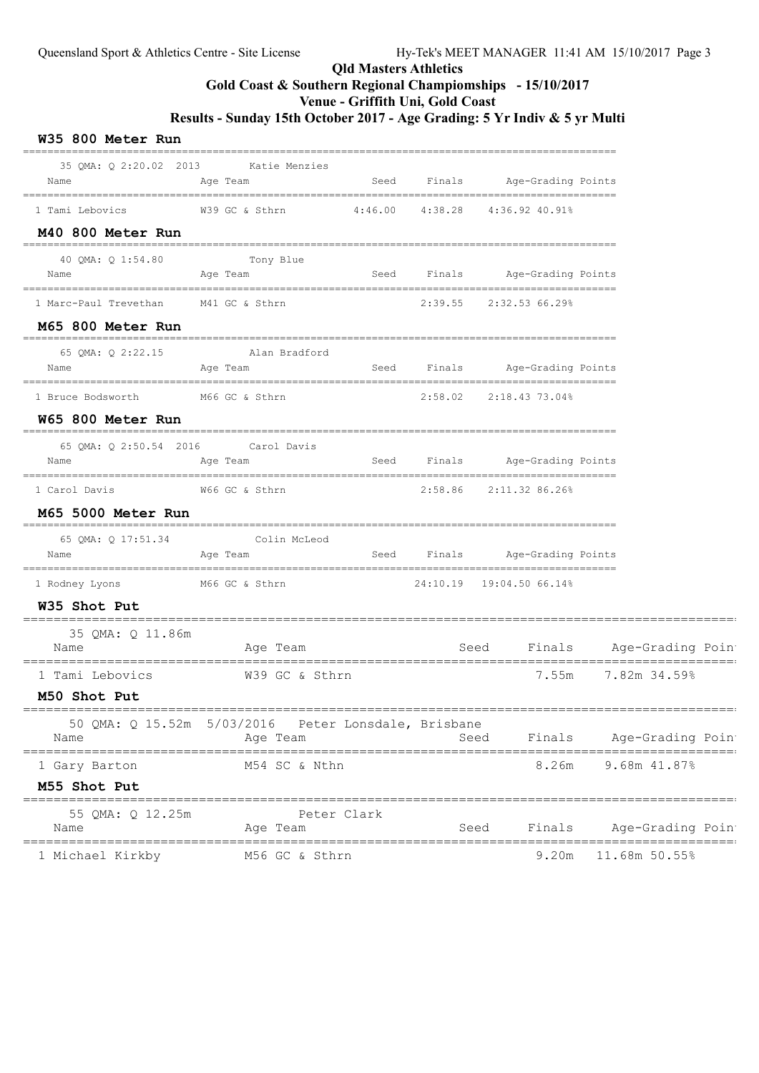# Qld Masters Athletics Gold Coast & Southern Regional Champiomships - 15/10/2017 Venue - Griffith Uni, Gold Coast Results - Sunday 15th October 2017 - Age Grading: 5 Yr Indiv & 5 yr Multi

| W35 800 Meter Run                                       |                                                                                |                          |                                |                              |  |
|---------------------------------------------------------|--------------------------------------------------------------------------------|--------------------------|--------------------------------|------------------------------|--|
| Name                                                    | 35 OMA: 0 2:20.02 2013 Katie Menzies<br>Age Team                               |                          | Seed Finals Age-Grading Points |                              |  |
| 1 Tami Lebovics                                         | W39 GC & Sthrn    4:46.00    4:38.28    4:36.92    40.91%                      |                          |                                |                              |  |
| M40 800 Meter Run                                       |                                                                                |                          |                                |                              |  |
| 40 QMA: Q 1:54.80<br>Name                               | Tony Blue<br>Age Team and Seed Finals Age-Grading Points                       |                          |                                |                              |  |
| 1 Marc-Paul Trevethan M41 GC & Sthrn                    |                                                                                |                          | 2:39.55 2:32.53 66.29%         |                              |  |
| M65 800 Meter Run<br>Name                               | 65 QMA: Q 2:22.15 Alan Bradford<br>Age Team Seed Finals Age-Grading Points     |                          |                                |                              |  |
| 1 Bruce Bodsworth M66 GC & Sthrn                        |                                                                                |                          | $2:58.02$ $2:18.43$ 73.04%     |                              |  |
| W65 800 Meter Run<br>65 QMA: Q 2:50.54 2016 Carol Davis |                                                                                |                          |                                |                              |  |
| Name                                                    | Age Team                                                                       |                          | Seed Finals Age-Grading Points |                              |  |
| 1 Carol Davis M66 GC & Sthrn<br>M65 5000 Meter Run      |                                                                                |                          | 2:58.86 2:11.32 86.26%         |                              |  |
| Name                                                    | 65 QMA: Q 17:51.34 Colin McLeod<br>Age Team and Seed Finals Age-Grading Points |                          |                                |                              |  |
| 1 Rodney Lyons M66 GC & Sthrn 24:10.19 19:04.50 66.14%  |                                                                                |                          |                                |                              |  |
| W35 Shot Put                                            |                                                                                |                          |                                |                              |  |
| 35 QMA: Q 11.86m<br>Name                                | Age Team                                                                       |                          |                                | Seed Finals Age-Grading Poin |  |
| 1 Tami Lebovics M39 GC & Sthrn<br>M50 Shot Put          |                                                                                |                          |                                | 7.55m 7.82m 34.59%           |  |
| 50 OMA: 0 15.52m 5/03/2016<br>Name                      | Age Team                                                                       | Peter Lonsdale, Brisbane | Finals<br>Seed                 | Age-Grading Poin             |  |
| 1 Gary Barton                                           | M54 SC & Nthn                                                                  |                          |                                | 8.26m 9.68m 41.87%           |  |
| M55 Shot Put                                            |                                                                                |                          |                                |                              |  |
| 55 QMA: Q 12.25m<br>Name                                | Age Team                                                                       | Peter Clark              | Finals<br>Seed                 | Age-Grading Poin             |  |
| 1 Michael Kirkby                                        | M56 GC & Sthrn                                                                 |                          | 9.20m                          | 11.68m 50.55%                |  |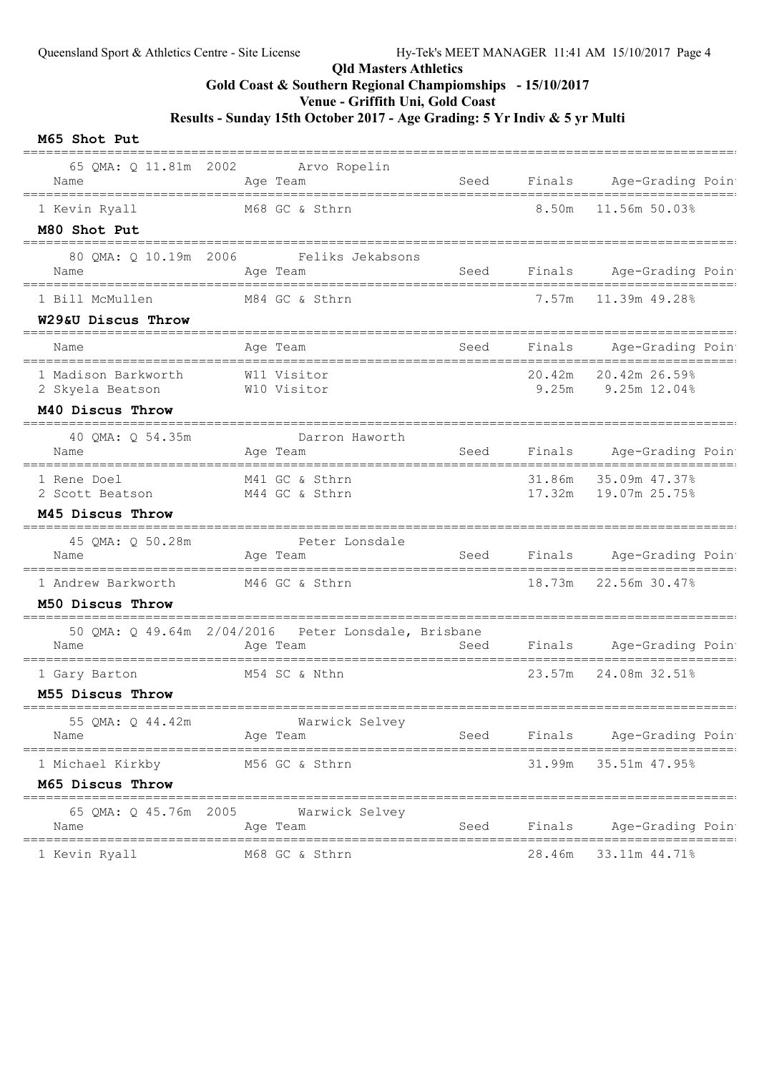Gold Coast & Southern Regional Champiomships - 15/10/2017

Venue - Griffith Uni, Gold Coast

Results - Sunday 15th October 2017 - Age Grading: 5 Yr Indiv & 5 yr Multi

#### M65 Shot Put

| 65 QMA: Q 11.81m 2002<br>Name           | Arvo Ropelin<br>Age Team                                         | Seed                          | Finals<br>Age-Grading Poin                       |                  |
|-----------------------------------------|------------------------------------------------------------------|-------------------------------|--------------------------------------------------|------------------|
| 1 Kevin Ryall                           | M68 GC & Sthrn                                                   |                               | 11.56m 50.03%<br>8.50m                           |                  |
| M80 Shot Put                            |                                                                  |                               |                                                  |                  |
| Name                                    | 80 QMA: Q 10.19m 2006 Feliks Jekabsons<br>Age Team               | Seed                          | Finals                                           | Age-Grading Poin |
| 1 Bill McMullen                         | M84 GC & Sthrn                                                   |                               | 11.39m 49.28%<br>7.57m                           |                  |
| W29&U Discus Throw                      |                                                                  |                               |                                                  |                  |
| Name                                    | Age Team                                                         | Seed                          | Finals                                           | Age-Grading Poin |
| 1 Madison Barkworth<br>2 Skyela Beatson | W11 Visitor<br>W10 Visitor                                       |                               | 20.42m<br>20.42m 26.59%<br>9.25m<br>9.25m 12.04% |                  |
| M40 Discus Throw                        |                                                                  |                               |                                                  |                  |
| 40 QMA: Q 54.35m<br>Name                | Darron Haworth<br>Age Team                                       | Seed                          | Finals                                           | Age-Grading Poin |
| 1 Rene Doel<br>2 Scott Beatson          | M41 GC & Sthrn<br>M44 GC & Sthrn                                 |                               | 31.86m 35.09m 47.37%<br>17.32m  19.07m  25.75%   |                  |
| M45 Discus Throw                        |                                                                  |                               |                                                  |                  |
| 45 QMA: Q 50.28m<br>Name                | Peter Lonsdale<br>Age Team                                       | Seed                          | Finals                                           | Age-Grading Poin |
| 1 Andrew Barkworth                      | M46 GC & Sthrn                                                   | =========================     | 18.73m<br>22.56m 30.47%                          |                  |
| M50 Discus Throw                        |                                                                  |                               |                                                  |                  |
| Name                                    | 50 QMA: Q 49.64m 2/04/2016  Peter Lonsdale, Brisbane<br>Age Team | ---------------------<br>Seed | Finals                                           | Age-Grading Poin |
| 1 Gary Barton                           | M54 SC & Nthn                                                    |                               | 23.57m<br>24.08m 32.51%                          |                  |
| M55 Discus Throw                        |                                                                  |                               |                                                  |                  |
| 55 QMA: Q 44.42m<br>Name                | Warwick Selvey<br>Age Team                                       | Seed                          | Finals                                           | Age-Grading Poin |
| 1 Michael Kirkby                        | M56 GC & Sthrn                                                   |                               | 31.99m<br>35.51m 47.95%                          |                  |
| M65 Discus Throw                        |                                                                  |                               |                                                  |                  |
| 65 QMA: Q 45.76m 2005<br>Name           | Warwick Selvey<br>Age Team                                       | Seed                          | Finals                                           | Age-Grading Poin |
| 1 Kevin Ryall                           | M68 GC & Sthrn                                                   |                               | 28.46m<br>33.11m 44.71%                          |                  |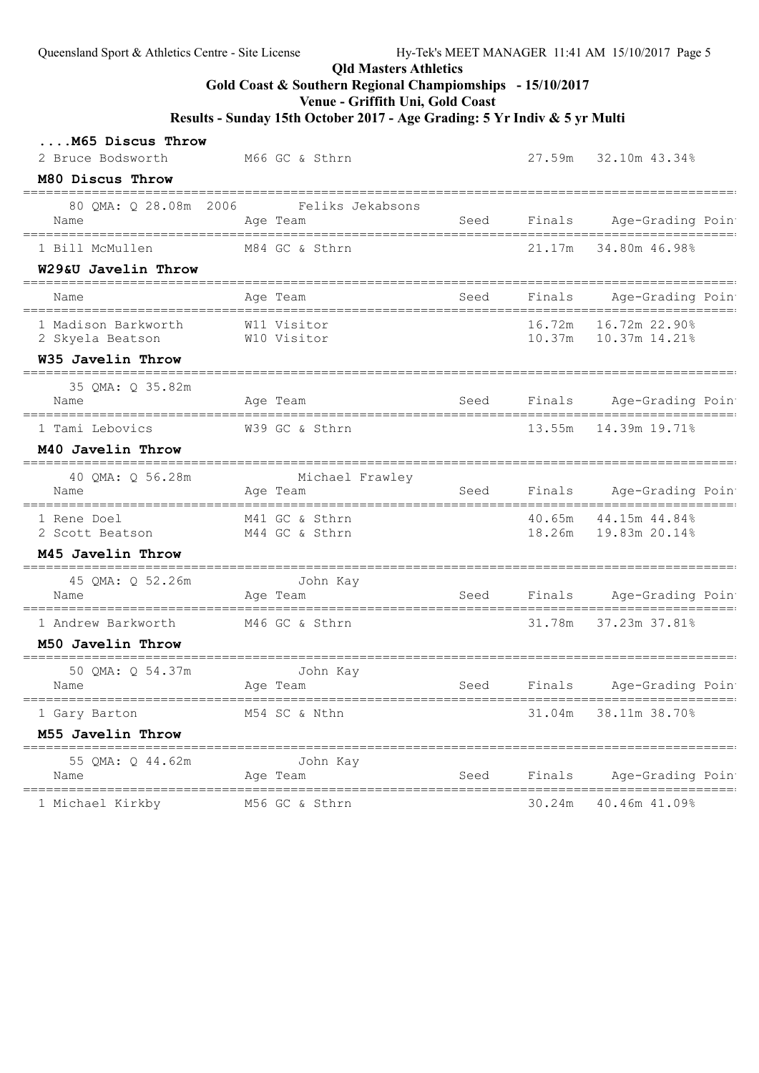Gold Coast & Southern Regional Champiomships - 15/10/2017

Venue - Griffith Uni, Gold Coast

Results - Sunday 15th October 2017 - Age Grading: 5 Yr Indiv & 5 yr Multi

| M65 Discus Throw<br>2 Bruce Bodsworth                             | M66 GC & Sthrn                      |      |             | 27.59m 32.10m 43.34%                                  |
|-------------------------------------------------------------------|-------------------------------------|------|-------------|-------------------------------------------------------|
| M80 Discus Throw                                                  |                                     |      |             |                                                       |
| 80 QMA: Q 28.08m 2006<br>Name                                     | Feliks Jekabsons<br>Age Team        |      | Seed Finals | Age-Grading Poin                                      |
| 1 Bill McMullen                                                   | M84 GC & Sthrn                      |      |             | 21.17m 34.80m 46.98%                                  |
| W29&U Javelin Throw                                               |                                     |      |             |                                                       |
| Name                                                              | Age Team                            | Seed |             | Finals Age-Grading Poin                               |
| 1 Madison Barkworth<br>2 Skyela Beatson                           | W11 Visitor<br>W10 Visitor          |      |             | 16.72m   16.72m   22.90%<br>10.37m   10.37m   14.21%  |
| W35 Javelin Throw                                                 | ---------------------               |      |             |                                                       |
| 35 QMA: Q 35.82m<br>Name                                          | Age Team                            |      |             | Seed Finals Age-Grading Poin<br>===============       |
| =================================<br>1 Tami Lebovics              | W39 GC & Sthrn                      |      | 13.55m      | 14.39m 19.71%                                         |
| M40 Javelin Throw                                                 |                                     |      |             |                                                       |
| 40 QMA: Q 56.28m<br>Name                                          | Michael Frawley<br>Age Team         | Seed |             | Finals Age-Grading Poin<br>==============             |
| 1 Rene Doel<br>2 Scott Beatson                                    | M41 GC & Sthrn<br>M44 GC & Sthrn    |      |             | $40.65m$ $44.15m$ $44.84\%$<br>18.26m  19.83m  20.14% |
| M45 Javelin Throw                                                 |                                     |      |             |                                                       |
| 45 QMA: Q 52.26m<br>Name                                          | John Kay<br>Age Team                | Seed | Finals      | Age-Grading Poin                                      |
| 1 Andrew Barkworth M46 GC & Sthrn                                 |                                     |      |             | 31.78m 37.23m 37.81%                                  |
| M50 Javelin Throw                                                 |                                     |      |             |                                                       |
| 50 QMA: Q 54.37m<br>Name                                          | John Kay<br>Age Team                | Seed |             | Finals Age-Grading Poin                               |
| 1 Gary Barton                                                     | ==================<br>M54 SC & Nthn |      | 31.04m      | 38.11m 38.70%                                         |
| M55 Javelin Throw                                                 |                                     |      |             |                                                       |
| 55 QMA: Q 44.62m<br>Name<br>------------------------------------- | John Kay<br>Age Team                | Seed | Finals      | Age-Grading Poin                                      |
| 1 Michael Kirkby                                                  | M56 GC & Sthrn                      |      | 30.24m      | 40.46m 41.09%                                         |